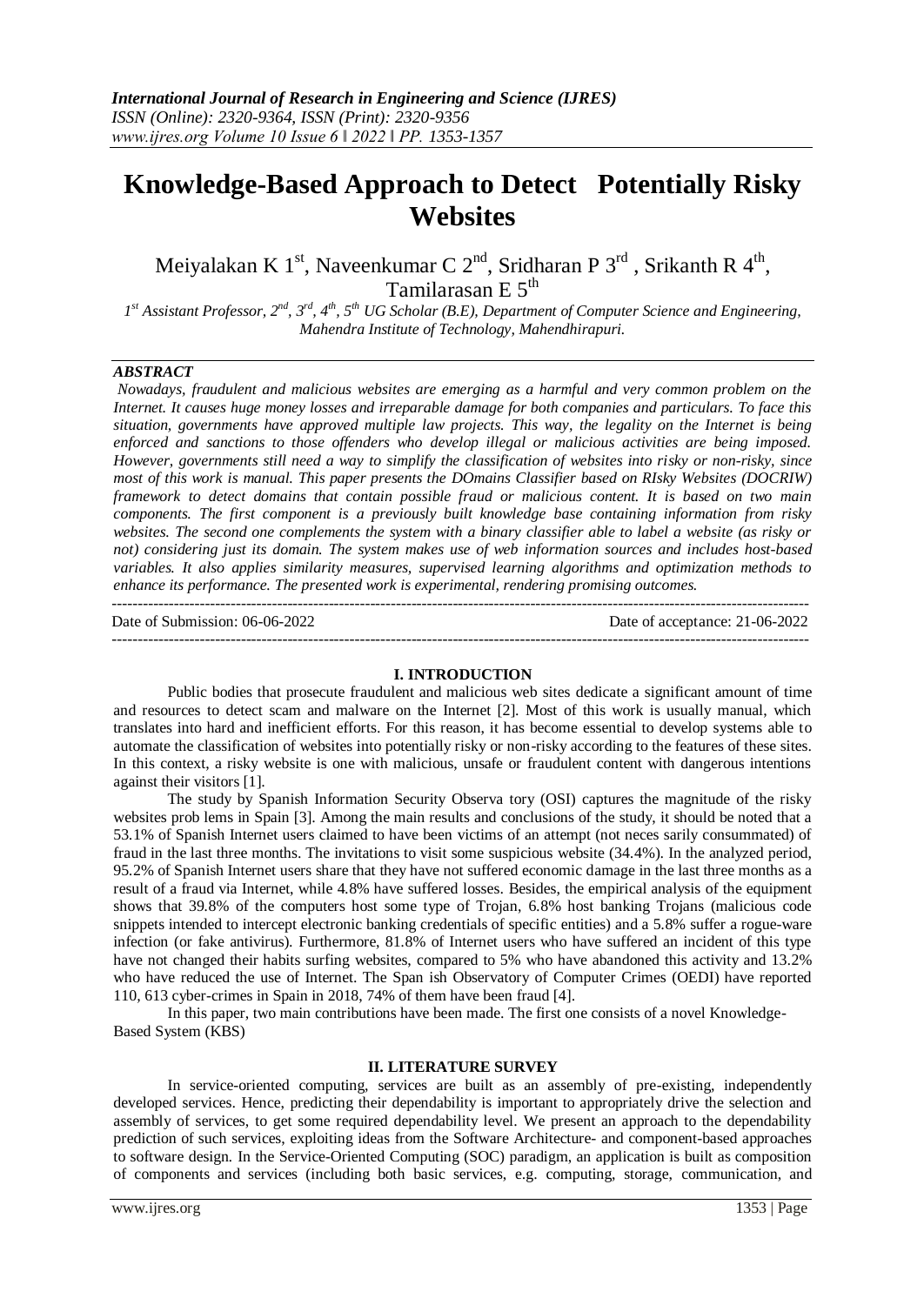# **Knowledge-Based Approach to Detect Potentially Risky Websites**

Meiyalakan K 1<sup>st</sup>, Naveenkumar C 2<sup>nd</sup>, Sridharan P 3<sup>rd</sup>, Srikanth R 4<sup>th</sup>, Tamilarasan E 5<sup>th</sup>

*1 st Assistant Professor, 2nd, 3rd, 4th, 5th UG Scholar (B.E), Department of Computer Science and Engineering, Mahendra Institute of Technology, Mahendhirapuri.* 

## *ABSTRACT*

*Nowadays, fraudulent and malicious websites are emerging as a harmful and very common problem on the Internet. It causes huge money losses and irreparable damage for both companies and particulars. To face this situation, governments have approved multiple law projects. This way, the legality on the Internet is being enforced and sanctions to those offenders who develop illegal or malicious activities are being imposed. However, governments still need a way to simplify the classification of websites into risky or non-risky, since most of this work is manual. This paper presents the DOmains Classifier based on RIsky Websites (DOCRIW) framework to detect domains that contain possible fraud or malicious content. It is based on two main components. The first component is a previously built knowledge base containing information from risky websites. The second one complements the system with a binary classifier able to label a website (as risky or not) considering just its domain. The system makes use of web information sources and includes host-based variables. It also applies similarity measures, supervised learning algorithms and optimization methods to enhance its performance. The presented work is experimental, rendering promising outcomes.* ---------------------------------------------------------------------------------------------------------------------------------------

Date of Submission: 06-06-2022 Date of acceptance: 21-06-2022

---------------------------------------------------------------------------------------------------------------------------------------

### **I. INTRODUCTION**

Public bodies that prosecute fraudulent and malicious web sites dedicate a significant amount of time and resources to detect scam and malware on the Internet [2]. Most of this work is usually manual, which translates into hard and inefficient efforts. For this reason, it has become essential to develop systems able to automate the classification of websites into potentially risky or non-risky according to the features of these sites. In this context, a risky website is one with malicious, unsafe or fraudulent content with dangerous intentions against their visitors [1].

The study by Spanish Information Security Observa tory (OSI) captures the magnitude of the risky websites prob lems in Spain [3]. Among the main results and conclusions of the study, it should be noted that a 53*.*1% of Spanish Internet users claimed to have been victims of an attempt (not neces sarily consummated) of fraud in the last three months. The invitations to visit some suspicious website (34*.*4%). In the analyzed period, 95*.*2% of Spanish Internet users share that they have not suffered economic damage in the last three months as a result of a fraud via Internet, while 4*.*8% have suffered losses. Besides, the empirical analysis of the equipment shows that 39*.*8% of the computers host some type of Trojan, 6*.*8% host banking Trojans (malicious code snippets intended to intercept electronic banking credentials of specific entities) and a 5*.*8% suffer a rogue-ware infection (or fake antivirus). Furthermore, 81*.*8% of Internet users who have suffered an incident of this type have not changed their habits surfing websites, compared to 5% who have abandoned this activity and 13*.*2% who have reduced the use of Internet. The Span ish Observatory of Computer Crimes (OEDI) have reported 110*,* 613 cyber-crimes in Spain in 2018, 74% of them have been fraud [4].

In this paper, two main contributions have been made. The first one consists of a novel Knowledge-Based System (KBS)

## **II. LITERATURE SURVEY**

In service-oriented computing, services are built as an assembly of pre-existing, independently developed services. Hence, predicting their dependability is important to appropriately drive the selection and assembly of services, to get some required dependability level. We present an approach to the dependability prediction of such services, exploiting ideas from the Software Architecture- and component-based approaches to software design*.* In the Service-Oriented Computing (SOC) paradigm, an application is built as composition of components and services (including both basic services, e.g. computing, storage, communication, and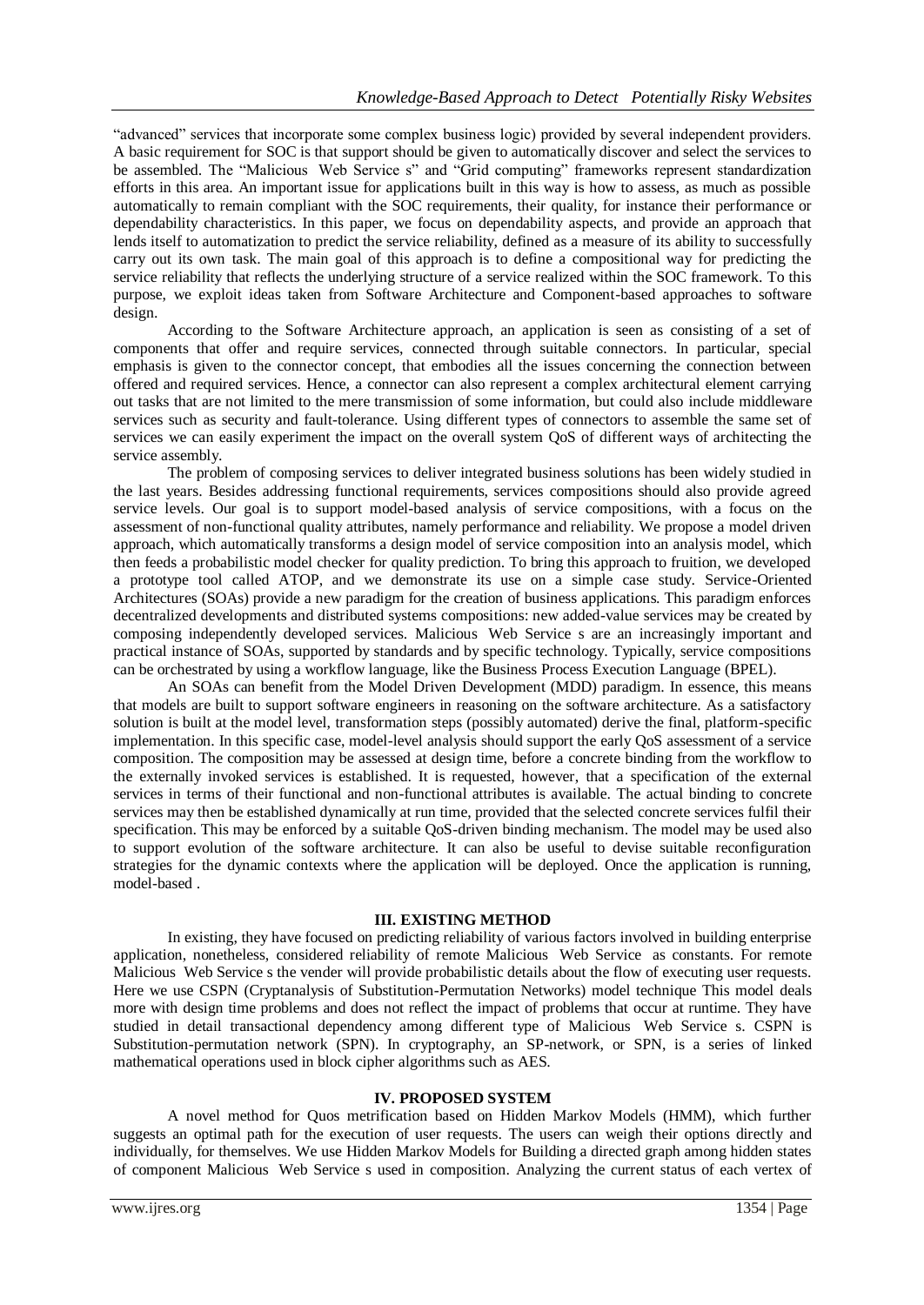"advanced" services that incorporate some complex business logic) provided by several independent providers. A basic requirement for SOC is that support should be given to automatically discover and select the services to be assembled. The "Malicious Web Service s" and "Grid computing" frameworks represent standardization efforts in this area. An important issue for applications built in this way is how to assess, as much as possible automatically to remain compliant with the SOC requirements, their quality, for instance their performance or dependability characteristics. In this paper, we focus on dependability aspects, and provide an approach that lends itself to automatization to predict the service reliability, defined as a measure of its ability to successfully carry out its own task. The main goal of this approach is to define a compositional way for predicting the service reliability that reflects the underlying structure of a service realized within the SOC framework. To this purpose, we exploit ideas taken from Software Architecture and Component-based approaches to software design.

According to the Software Architecture approach, an application is seen as consisting of a set of components that offer and require services, connected through suitable connectors. In particular, special emphasis is given to the connector concept, that embodies all the issues concerning the connection between offered and required services. Hence, a connector can also represent a complex architectural element carrying out tasks that are not limited to the mere transmission of some information, but could also include middleware services such as security and fault-tolerance. Using different types of connectors to assemble the same set of services we can easily experiment the impact on the overall system QoS of different ways of architecting the service assembly.

The problem of composing services to deliver integrated business solutions has been widely studied in the last years. Besides addressing functional requirements, services compositions should also provide agreed service levels. Our goal is to support model-based analysis of service compositions, with a focus on the assessment of non-functional quality attributes, namely performance and reliability. We propose a model driven approach, which automatically transforms a design model of service composition into an analysis model, which then feeds a probabilistic model checker for quality prediction. To bring this approach to fruition, we developed a prototype tool called ATOP, and we demonstrate its use on a simple case study. Service-Oriented Architectures (SOAs) provide a new paradigm for the creation of business applications. This paradigm enforces decentralized developments and distributed systems compositions: new added-value services may be created by composing independently developed services. Malicious Web Service s are an increasingly important and practical instance of SOAs, supported by standards and by specific technology. Typically, service compositions can be orchestrated by using a workflow language, like the Business Process Execution Language (BPEL).

An SOAs can benefit from the Model Driven Development (MDD) paradigm. In essence, this means that models are built to support software engineers in reasoning on the software architecture. As a satisfactory solution is built at the model level, transformation steps (possibly automated) derive the final, platform-specific implementation. In this specific case, model-level analysis should support the early QoS assessment of a service composition. The composition may be assessed at design time, before a concrete binding from the workflow to the externally invoked services is established. It is requested, however, that a specification of the external services in terms of their functional and non-functional attributes is available. The actual binding to concrete services may then be established dynamically at run time, provided that the selected concrete services fulfil their specification. This may be enforced by a suitable QoS-driven binding mechanism. The model may be used also to support evolution of the software architecture. It can also be useful to devise suitable reconfiguration strategies for the dynamic contexts where the application will be deployed. Once the application is running, model-based .

## **III. EXISTING METHOD**

In existing, they have focused on predicting reliability of various factors involved in building enterprise application, nonetheless, considered reliability of remote Malicious Web Service as constants. For remote Malicious Web Service s the vender will provide probabilistic details about the flow of executing user requests. Here we use CSPN (Cryptanalysis of Substitution-Permutation Networks) model technique This model deals more with design time problems and does not reflect the impact of problems that occur at runtime. They have studied in detail transactional dependency among different type of Malicious Web Service s. CSPN is Substitution-permutation network (SPN). In cryptography, an SP-network, or SPN, is a series of linked mathematical operations used in block cipher algorithms such as AES.

## **IV. PROPOSED SYSTEM**

A novel method for Quos metrification based on Hidden Markov Models (HMM), which further suggests an optimal path for the execution of user requests. The users can weigh their options directly and individually, for themselves. We use Hidden Markov Models for Building a directed graph among hidden states of component Malicious Web Service s used in composition. Analyzing the current status of each vertex of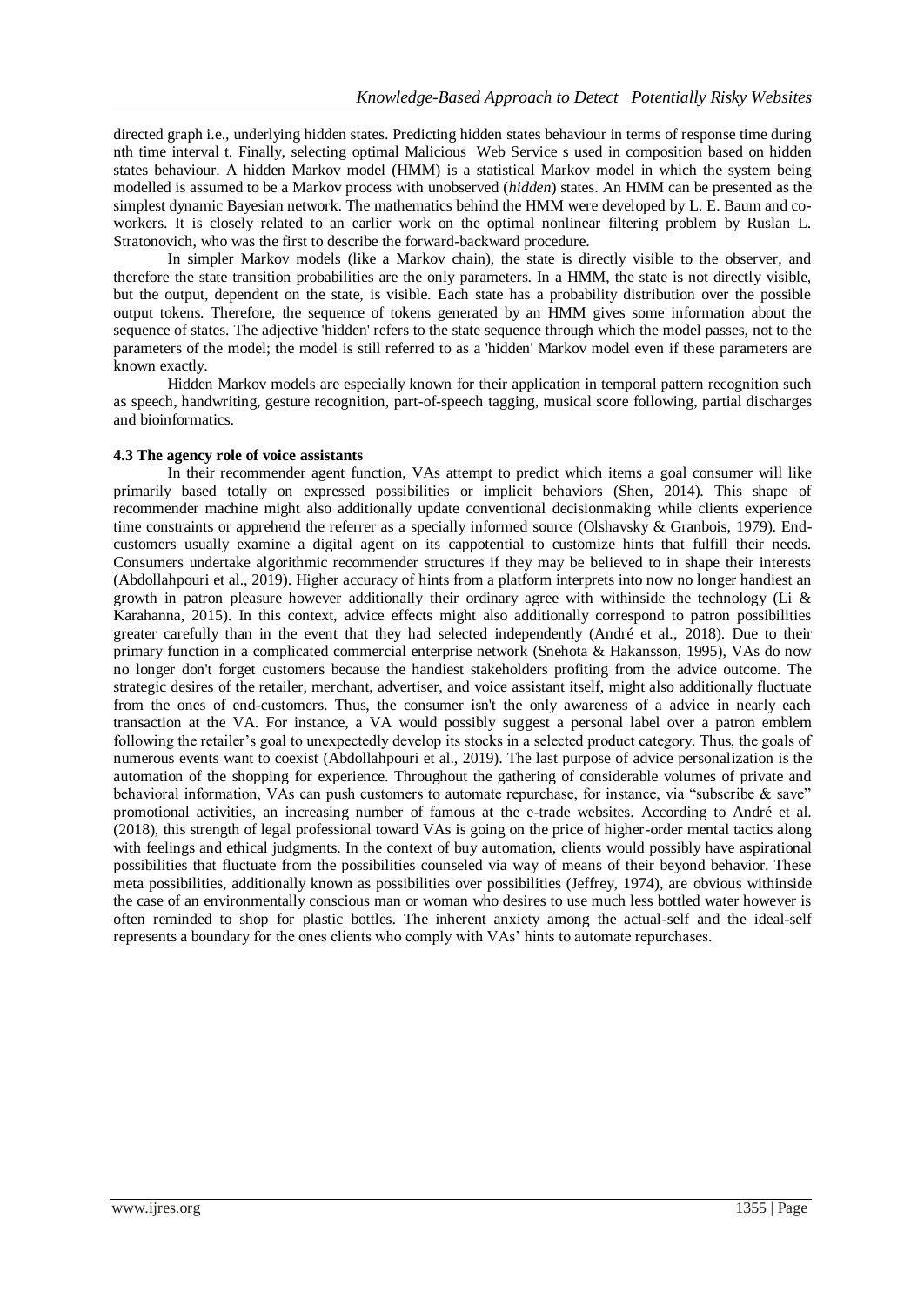directed graph i.e., underlying hidden states. Predicting hidden states behaviour in terms of response time during nth time interval t. Finally, selecting optimal Malicious Web Service s used in composition based on hidden states behaviour. A hidden Markov model (HMM) is a statistical Markov model in which the system being modelled is assumed to be a Markov process with unobserved (*hidden*) states. An HMM can be presented as the simplest dynamic Bayesian network. The mathematics behind the HMM were developed by L. E. Baum and coworkers. It is closely related to an earlier work on the optimal nonlinear filtering problem by Ruslan L. Stratonovich, who was the first to describe the forward-backward procedure.

In simpler Markov models (like a Markov chain), the state is directly visible to the observer, and therefore the state transition probabilities are the only parameters. In a HMM, the state is not directly visible, but the output, dependent on the state, is visible. Each state has a probability distribution over the possible output tokens. Therefore, the sequence of tokens generated by an HMM gives some information about the sequence of states. The adjective 'hidden' refers to the state sequence through which the model passes, not to the parameters of the model; the model is still referred to as a 'hidden' Markov model even if these parameters are known exactly.

Hidden Markov models are especially known for their application in temporal pattern recognition such as speech, handwriting, gesture recognition, part-of-speech tagging, musical score following, partial discharges and bioinformatics.

### **4.3 The agency role of voice assistants**

In their recommender agent function, VAs attempt to predict which items a goal consumer will like primarily based totally on expressed possibilities or implicit behaviors (Shen, 2014). This shape of recommender machine might also additionally update conventional decisionmaking while clients experience time constraints or apprehend the referrer as a specially informed source (Olshavsky & Granbois, 1979). Endcustomers usually examine a digital agent on its cappotential to customize hints that fulfill their needs. Consumers undertake algorithmic recommender structures if they may be believed to in shape their interests (Abdollahpouri et al., 2019). Higher accuracy of hints from a platform interprets into now no longer handiest an growth in patron pleasure however additionally their ordinary agree with withinside the technology (Li  $\&$ Karahanna, 2015). In this context, advice effects might also additionally correspond to patron possibilities greater carefully than in the event that they had selected independently (André et al., 2018). Due to their primary function in a complicated commercial enterprise network (Snehota & Hakansson, 1995), VAs do now no longer don't forget customers because the handiest stakeholders profiting from the advice outcome. The strategic desires of the retailer, merchant, advertiser, and voice assistant itself, might also additionally fluctuate from the ones of end-customers. Thus, the consumer isn't the only awareness of a advice in nearly each transaction at the VA. For instance, a VA would possibly suggest a personal label over a patron emblem following the retailer's goal to unexpectedly develop its stocks in a selected product category. Thus, the goals of numerous events want to coexist (Abdollahpouri et al., 2019). The last purpose of advice personalization is the automation of the shopping for experience. Throughout the gathering of considerable volumes of private and behavioral information, VAs can push customers to automate repurchase, for instance, via "subscribe & save" promotional activities, an increasing number of famous at the e-trade websites. According to André et al. (2018), this strength of legal professional toward VAs is going on the price of higher-order mental tactics along with feelings and ethical judgments. In the context of buy automation, clients would possibly have aspirational possibilities that fluctuate from the possibilities counseled via way of means of their beyond behavior. These meta possibilities, additionally known as possibilities over possibilities (Jeffrey, 1974), are obvious withinside the case of an environmentally conscious man or woman who desires to use much less bottled water however is often reminded to shop for plastic bottles. The inherent anxiety among the actual-self and the ideal-self represents a boundary for the ones clients who comply with VAs' hints to automate repurchases.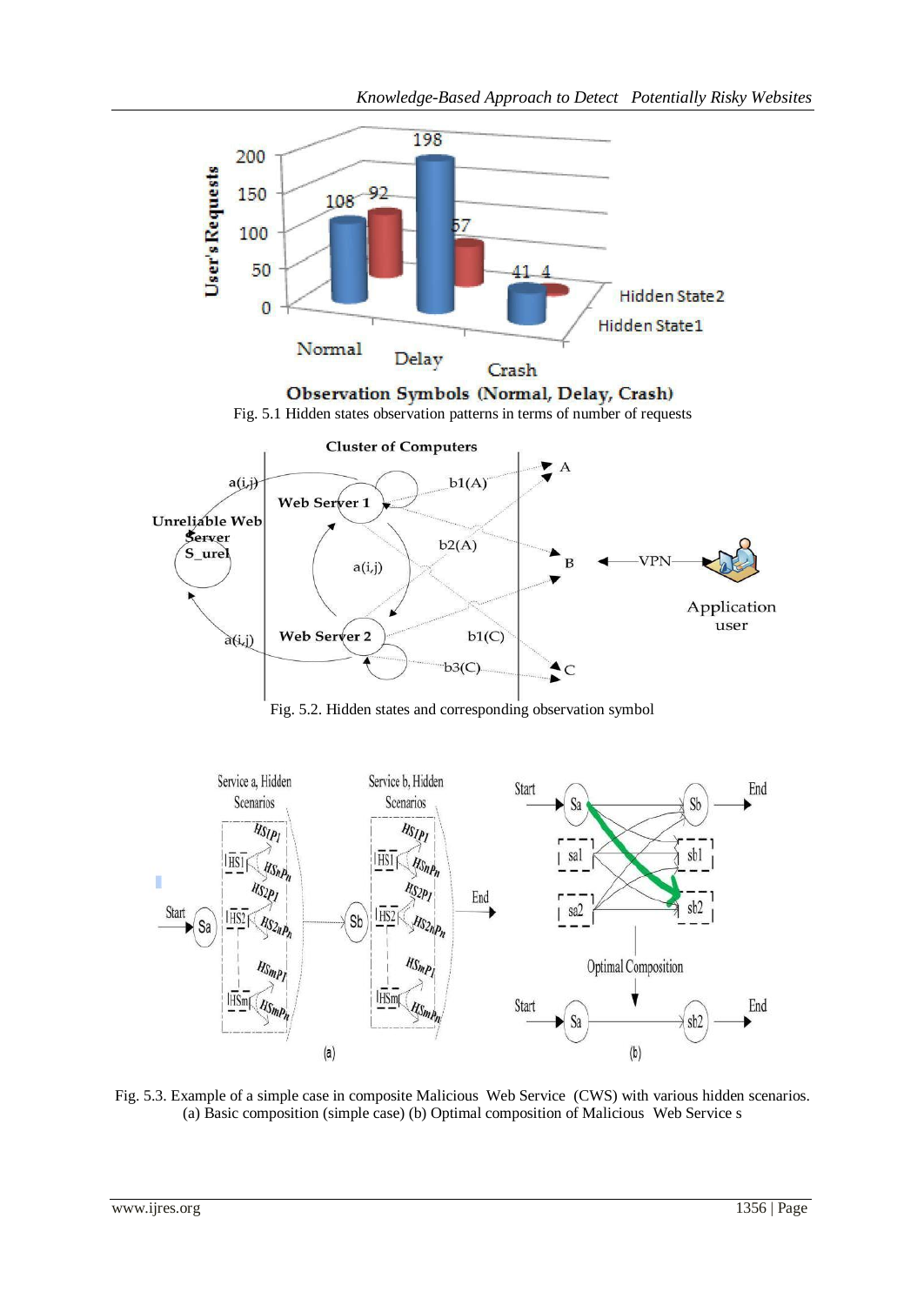



Fig. 5.3. Example of a simple case in composite Malicious Web Service (CWS) with various hidden scenarios. (a) Basic composition (simple case) (b) Optimal composition of Malicious Web Service s